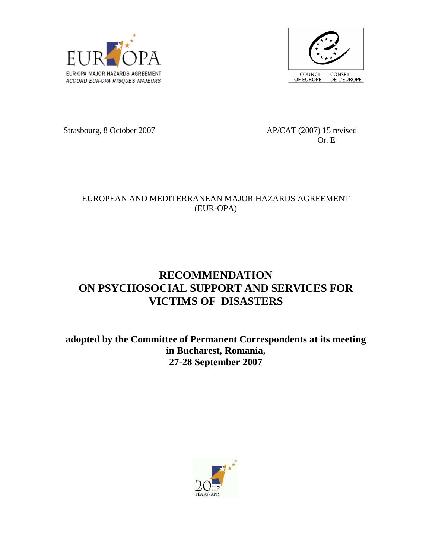



Strasbourg, 8 October 2007 AP/CAT (2007) 15 revised

Or. E

## EUROPEAN AND MEDITERRANEAN MAJOR HAZARDS AGREEMENT (EUR-OPA)

## **RECOMMENDATION ON PSYCHOSOCIAL SUPPORT AND SERVICES FOR VICTIMS OF DISASTERS**

**adopted by the Committee of Permanent Correspondents at its meeting in Bucharest, Romania, 27-28 September 2007** 

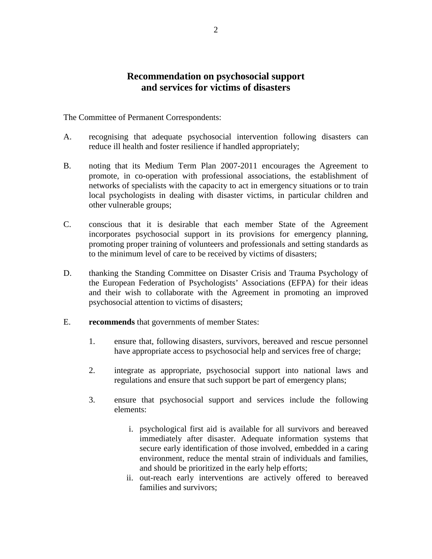## **Recommendation on psychosocial support and services for victims of disasters**

The Committee of Permanent Correspondents:

- A. recognising that adequate psychosocial intervention following disasters can reduce ill health and foster resilience if handled appropriately;
- B. noting that its Medium Term Plan 2007-2011 encourages the Agreement to promote, in co-operation with professional associations, the establishment of networks of specialists with the capacity to act in emergency situations or to train local psychologists in dealing with disaster victims, in particular children and other vulnerable groups;
- C. conscious that it is desirable that each member State of the Agreement incorporates psychosocial support in its provisions for emergency planning, promoting proper training of volunteers and professionals and setting standards as to the minimum level of care to be received by victims of disasters;
- D. thanking the Standing Committee on Disaster Crisis and Trauma Psychology of the European Federation of Psychologists' Associations (EFPA) for their ideas and their wish to collaborate with the Agreement in promoting an improved psychosocial attention to victims of disasters;
- E. **recommends** that governments of member States:
	- 1. ensure that, following disasters, survivors, bereaved and rescue personnel have appropriate access to psychosocial help and services free of charge;
	- 2. integrate as appropriate, psychosocial support into national laws and regulations and ensure that such support be part of emergency plans;
	- 3. ensure that psychosocial support and services include the following elements:
		- i. psychological first aid is available for all survivors and bereaved immediately after disaster. Adequate information systems that secure early identification of those involved, embedded in a caring environment, reduce the mental strain of individuals and families, and should be prioritized in the early help efforts;
		- ii. out-reach early interventions are actively offered to bereaved families and survivors;